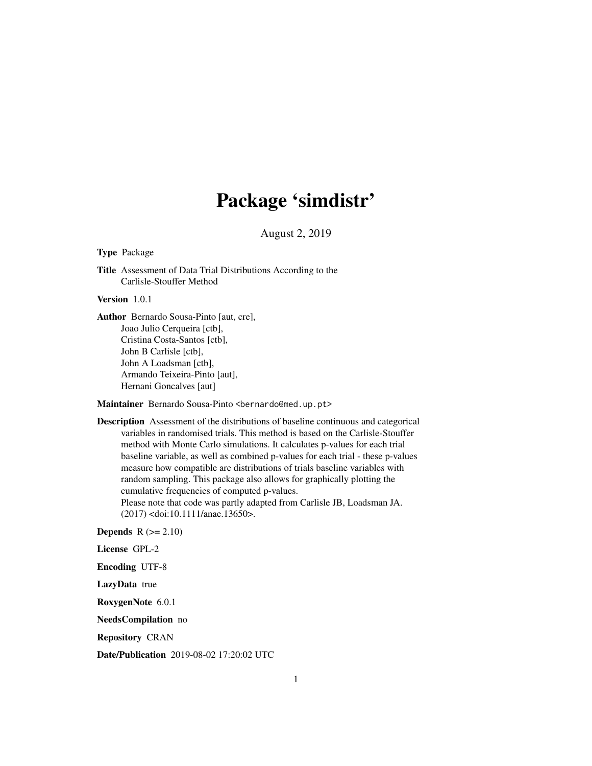## Package 'simdistr'

August 2, 2019

#### Type Package

Title Assessment of Data Trial Distributions According to the Carlisle-Stouffer Method

#### Version 1.0.1

Author Bernardo Sousa-Pinto [aut, cre], Joao Julio Cerqueira [ctb], Cristina Costa-Santos [ctb], John B Carlisle [ctb], John A Loadsman [ctb], Armando Teixeira-Pinto [aut], Hernani Goncalves [aut]

Maintainer Bernardo Sousa-Pinto <br/>bernardo@med.up.pt>

Description Assessment of the distributions of baseline continuous and categorical variables in randomised trials. This method is based on the Carlisle-Stouffer method with Monte Carlo simulations. It calculates p-values for each trial baseline variable, as well as combined p-values for each trial - these p-values measure how compatible are distributions of trials baseline variables with random sampling. This package also allows for graphically plotting the cumulative frequencies of computed p-values. Please note that code was partly adapted from Carlisle JB, Loadsman JA.

(2017) <doi:10.1111/anae.13650>.

**Depends**  $R$  ( $>= 2.10$ )

License GPL-2

Encoding UTF-8

LazyData true

RoxygenNote 6.0.1

NeedsCompilation no

Repository CRAN

Date/Publication 2019-08-02 17:20:02 UTC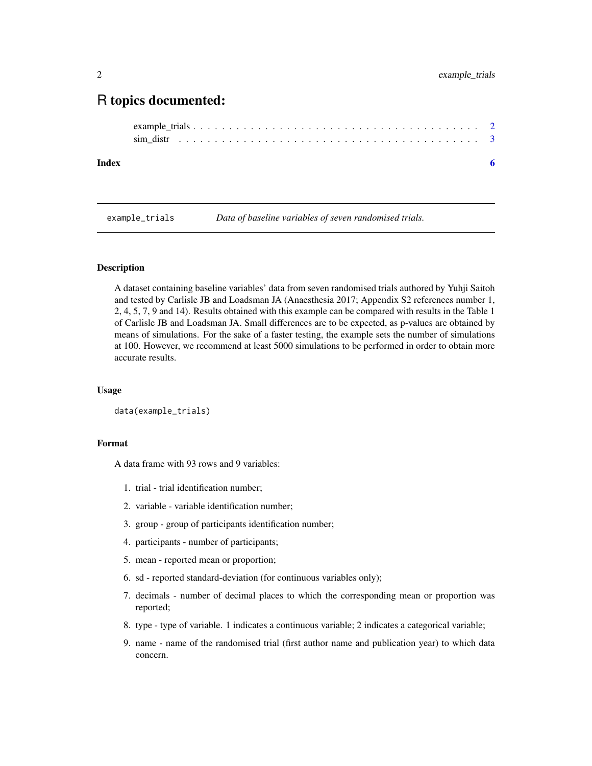### <span id="page-1-0"></span>R topics documented:

```
example_trials . . . . . . . . . . . . . . . . . . . . . . . . . . . . . . . . . . . . . . . . 2
sim_distr . . . . . . . . . . . . . . . . . . . . . . . . . . . . . . . . . . . . . . . . . . 3
```
#### **Index** [6](#page-5-0) **6**

example\_trials *Data of baseline variables of seven randomised trials.*

#### **Description**

A dataset containing baseline variables' data from seven randomised trials authored by Yuhji Saitoh and tested by Carlisle JB and Loadsman JA (Anaesthesia 2017; Appendix S2 references number 1, 2, 4, 5, 7, 9 and 14). Results obtained with this example can be compared with results in the Table 1 of Carlisle JB and Loadsman JA. Small differences are to be expected, as p-values are obtained by means of simulations. For the sake of a faster testing, the example sets the number of simulations at 100. However, we recommend at least 5000 simulations to be performed in order to obtain more accurate results.

#### Usage

```
data(example_trials)
```
#### Format

A data frame with 93 rows and 9 variables:

- 1. trial trial identification number;
- 2. variable variable identification number;
- 3. group group of participants identification number;
- 4. participants number of participants;
- 5. mean reported mean or proportion;
- 6. sd reported standard-deviation (for continuous variables only);
- 7. decimals number of decimal places to which the corresponding mean or proportion was reported;
- 8. type type of variable. 1 indicates a continuous variable; 2 indicates a categorical variable;
- 9. name name of the randomised trial (first author name and publication year) to which data concern.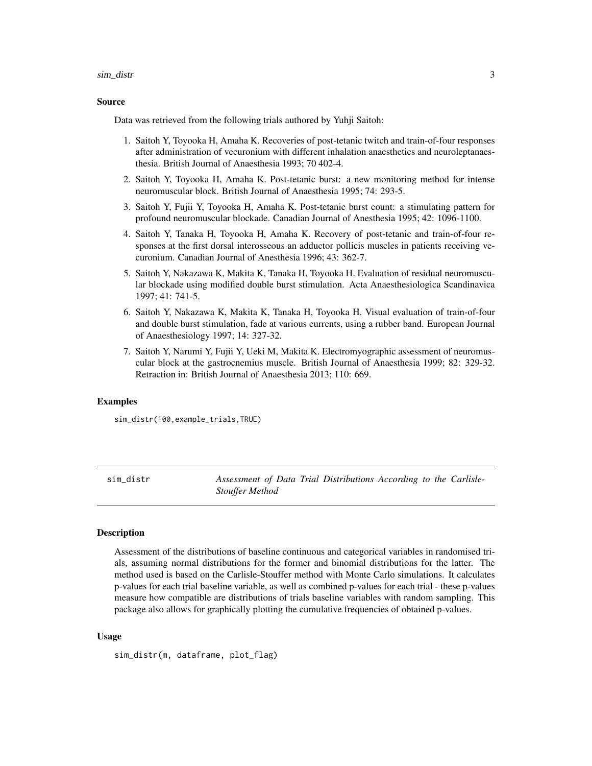#### <span id="page-2-0"></span>sim\_distr

#### Source

Data was retrieved from the following trials authored by Yuhji Saitoh:

- 1. Saitoh Y, Toyooka H, Amaha K. Recoveries of post-tetanic twitch and train-of-four responses after administration of vecuronium with different inhalation anaesthetics and neuroleptanaesthesia. British Journal of Anaesthesia 1993; 70 402-4.
- 2. Saitoh Y, Toyooka H, Amaha K. Post-tetanic burst: a new monitoring method for intense neuromuscular block. British Journal of Anaesthesia 1995; 74: 293-5.
- 3. Saitoh Y, Fujii Y, Toyooka H, Amaha K. Post-tetanic burst count: a stimulating pattern for profound neuromuscular blockade. Canadian Journal of Anesthesia 1995; 42: 1096-1100.
- 4. Saitoh Y, Tanaka H, Toyooka H, Amaha K. Recovery of post-tetanic and train-of-four responses at the first dorsal interosseous an adductor pollicis muscles in patients receiving vecuronium. Canadian Journal of Anesthesia 1996; 43: 362-7.
- 5. Saitoh Y, Nakazawa K, Makita K, Tanaka H, Toyooka H. Evaluation of residual neuromuscular blockade using modified double burst stimulation. Acta Anaesthesiologica Scandinavica 1997; 41: 741-5.
- 6. Saitoh Y, Nakazawa K, Makita K, Tanaka H, Toyooka H. Visual evaluation of train-of-four and double burst stimulation, fade at various currents, using a rubber band. European Journal of Anaesthesiology 1997; 14: 327-32.
- 7. Saitoh Y, Narumi Y, Fujii Y, Ueki M, Makita K. Electromyographic assessment of neuromuscular block at the gastrocnemius muscle. British Journal of Anaesthesia 1999; 82: 329-32. Retraction in: British Journal of Anaesthesia 2013; 110: 669.

#### Examples

sim\_distr(100,example\_trials,TRUE)

sim\_distr *Assessment of Data Trial Distributions According to the Carlisle-Stouffer Method*

#### **Description**

Assessment of the distributions of baseline continuous and categorical variables in randomised trials, assuming normal distributions for the former and binomial distributions for the latter. The method used is based on the Carlisle-Stouffer method with Monte Carlo simulations. It calculates p-values for each trial baseline variable, as well as combined p-values for each trial - these p-values measure how compatible are distributions of trials baseline variables with random sampling. This package also allows for graphically plotting the cumulative frequencies of obtained p-values.

#### Usage

sim\_distr(m, dataframe, plot\_flag)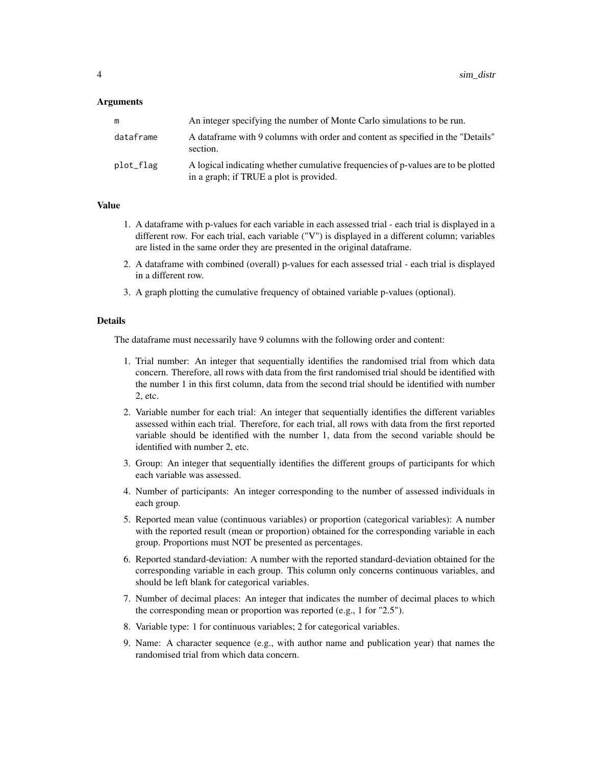#### **Arguments**

|           | An integer specifying the number of Monte Carlo simulations to be run.                                                       |
|-----------|------------------------------------------------------------------------------------------------------------------------------|
| dataframe | A data frame with 9 columns with order and content as specified in the "Details"<br>section.                                 |
| plot_flag | A logical indicating whether cumulative frequencies of p-values are to be plotted<br>in a graph; if TRUE a plot is provided. |

#### Value

- 1. A dataframe with p-values for each variable in each assessed trial each trial is displayed in a different row. For each trial, each variable ("V") is displayed in a different column; variables are listed in the same order they are presented in the original dataframe.
- 2. A dataframe with combined (overall) p-values for each assessed trial each trial is displayed in a different row.
- 3. A graph plotting the cumulative frequency of obtained variable p-values (optional).

#### Details

The dataframe must necessarily have 9 columns with the following order and content:

- 1. Trial number: An integer that sequentially identifies the randomised trial from which data concern. Therefore, all rows with data from the first randomised trial should be identified with the number 1 in this first column, data from the second trial should be identified with number 2, etc.
- 2. Variable number for each trial: An integer that sequentially identifies the different variables assessed within each trial. Therefore, for each trial, all rows with data from the first reported variable should be identified with the number 1, data from the second variable should be identified with number 2, etc.
- 3. Group: An integer that sequentially identifies the different groups of participants for which each variable was assessed.
- 4. Number of participants: An integer corresponding to the number of assessed individuals in each group.
- 5. Reported mean value (continuous variables) or proportion (categorical variables): A number with the reported result (mean or proportion) obtained for the corresponding variable in each group. Proportions must NOT be presented as percentages.
- 6. Reported standard-deviation: A number with the reported standard-deviation obtained for the corresponding variable in each group. This column only concerns continuous variables, and should be left blank for categorical variables.
- 7. Number of decimal places: An integer that indicates the number of decimal places to which the corresponding mean or proportion was reported (e.g., 1 for "2.5").
- 8. Variable type: 1 for continuous variables; 2 for categorical variables.
- 9. Name: A character sequence (e.g., with author name and publication year) that names the randomised trial from which data concern.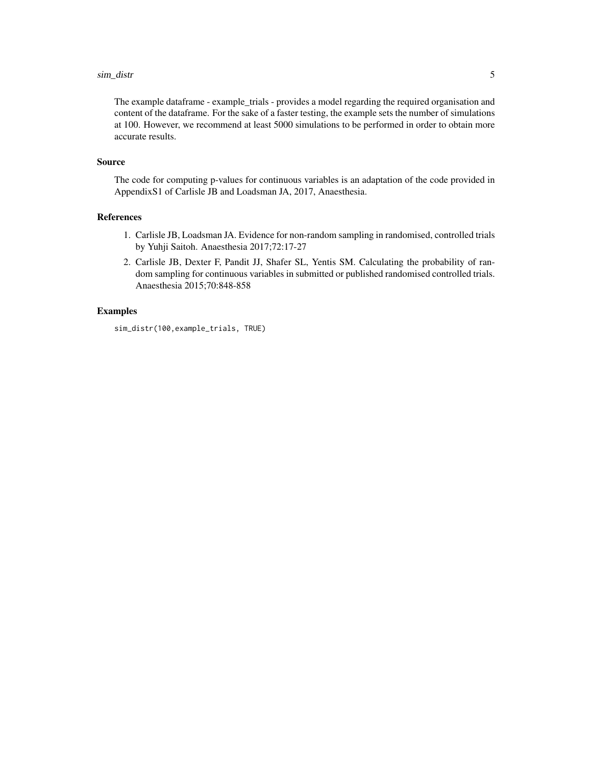#### sim\_distr

The example dataframe - example\_trials - provides a model regarding the required organisation and content of the dataframe. For the sake of a faster testing, the example sets the number of simulations at 100. However, we recommend at least 5000 simulations to be performed in order to obtain more accurate results.

#### Source

The code for computing p-values for continuous variables is an adaptation of the code provided in AppendixS1 of Carlisle JB and Loadsman JA, 2017, Anaesthesia.

#### References

- 1. Carlisle JB, Loadsman JA. Evidence for non-random sampling in randomised, controlled trials by Yuhji Saitoh. Anaesthesia 2017;72:17-27
- 2. Carlisle JB, Dexter F, Pandit JJ, Shafer SL, Yentis SM. Calculating the probability of random sampling for continuous variables in submitted or published randomised controlled trials. Anaesthesia 2015;70:848-858

#### Examples

sim\_distr(100,example\_trials, TRUE)